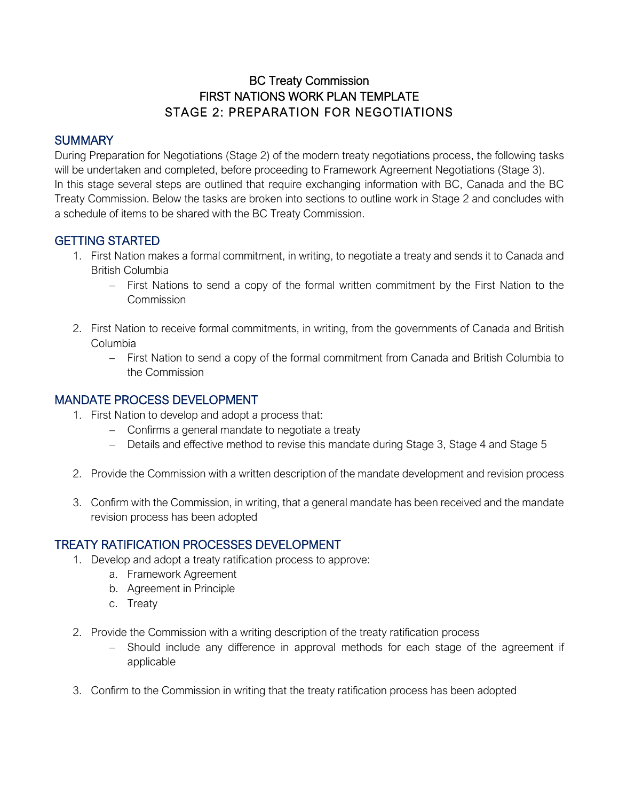# BC Treaty Commission FIRST NATIONS WORK PLAN TEMPLATE STAGE 2: PREPARATION FOR NEGOTIATIONS

#### **SUMMARY**

During Preparation for Negotiations (Stage 2) of the modern treaty negotiations process, the following tasks will be undertaken and completed, before proceeding to Framework Agreement Negotiations (Stage 3). In this stage several steps are outlined that require exchanging information with BC, Canada and the BC Treaty Commission. Below the tasks are broken into sections to outline work in Stage 2 and concludes with a schedule of items to be shared with the BC Treaty Commission.

#### GETTING STARTED

- 1. First Nation makes a formal commitment, in writing, to negotiate a treaty and sends it to Canada and British Columbia
	- − First Nations to send a copy of the formal written commitment by the First Nation to the Commission
- 2. First Nation to receive formal commitments, in writing, from the governments of Canada and British Columbia
	- − First Nation to send a copy of the formal commitment from Canada and British Columbia to the Commission

#### MANDATE PROCESS DEVELOPMENT

- 1. First Nation to develop and adopt a process that:
	- − Confirms a general mandate to negotiate a treaty
	- − Details and effective method to revise this mandate during Stage 3, Stage 4 and Stage 5
- 2. Provide the Commission with a written description of the mandate development and revision process
- 3. Confirm with the Commission, in writing, that a general mandate has been received and the mandate revision process has been adopted

# TREATY RATIFICATION PROCESSES DEVELOPMENT

- 1. Develop and adopt a treaty ratification process to approve:
	- a. Framework Agreement
	- b. Agreement in Principle
	- c. Treaty
- 2. Provide the Commission with a writing description of the treaty ratification process
	- − Should include any difference in approval methods for each stage of the agreement if applicable
- 3. Confirm to the Commission in writing that the treaty ratification process has been adopted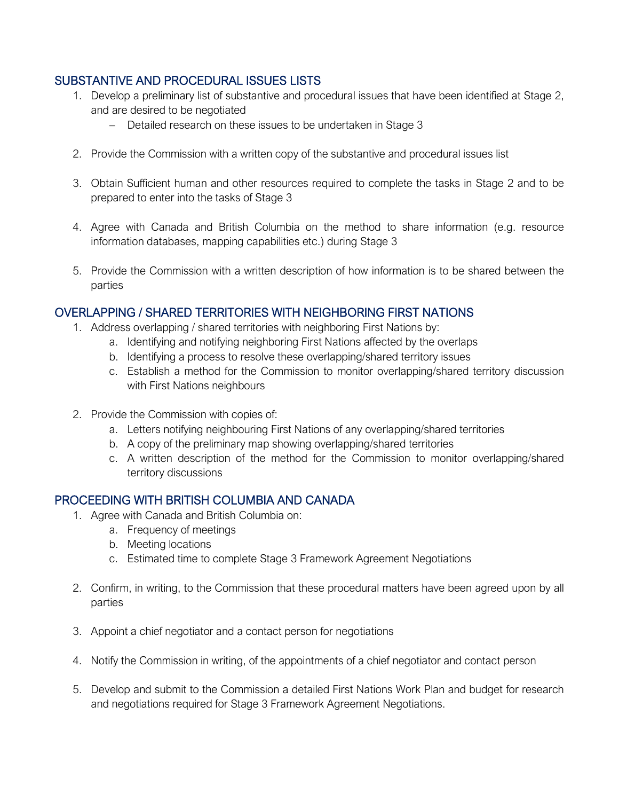# SUBSTANTIVE AND PROCEDURAL ISSUES LISTS

- 1. Develop a preliminary list of substantive and procedural issues that have been identified at Stage 2, and are desired to be negotiated
	- − Detailed research on these issues to be undertaken in Stage 3
- 2. Provide the Commission with a written copy of the substantive and procedural issues list
- 3. Obtain Sufficient human and other resources required to complete the tasks in Stage 2 and to be prepared to enter into the tasks of Stage 3
- 4. Agree with Canada and British Columbia on the method to share information (e.g. resource information databases, mapping capabilities etc.) during Stage 3
- 5. Provide the Commission with a written description of how information is to be shared between the parties

# OVERLAPPING / SHARED TERRITORIES WITH NEIGHBORING FIRST NATIONS

- 1. Address overlapping / shared territories with neighboring First Nations by:
	- a. Identifying and notifying neighboring First Nations affected by the overlaps
	- b. Identifying a process to resolve these overlapping/shared territory issues
	- c. Establish a method for the Commission to monitor overlapping/shared territory discussion with First Nations neighbours
- 2. Provide the Commission with copies of:
	- a. Letters notifying neighbouring First Nations of any overlapping/shared territories
	- b. A copy of the preliminary map showing overlapping/shared territories
	- c. A written description of the method for the Commission to monitor overlapping/shared territory discussions

#### PROCEEDING WITH BRITISH COLUMBIA AND CANADA

- 1. Agree with Canada and British Columbia on:
	- a. Frequency of meetings
	- b. Meeting locations
	- c. Estimated time to complete Stage 3 Framework Agreement Negotiations
- 2. Confirm, in writing, to the Commission that these procedural matters have been agreed upon by all parties
- 3. Appoint a chief negotiator and a contact person for negotiations
- 4. Notify the Commission in writing, of the appointments of a chief negotiator and contact person
- 5. Develop and submit to the Commission a detailed First Nations Work Plan and budget for research and negotiations required for Stage 3 Framework Agreement Negotiations.